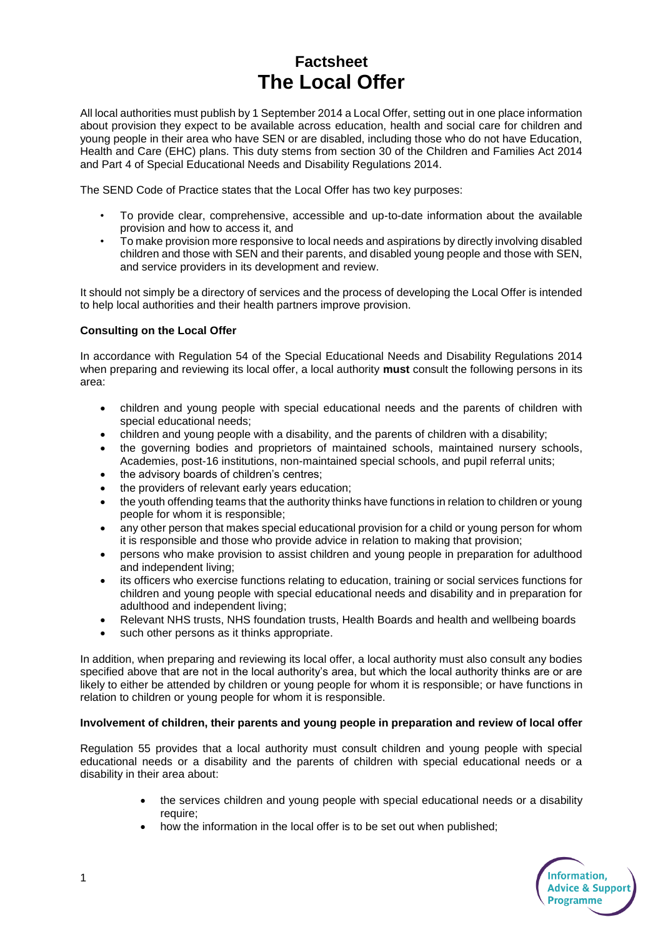# **Factsheet The Local Offer**

All local authorities must publish by 1 September 2014 a Local Offer, setting out in one place information about provision they expect to be available across education, health and social care for children and young people in their area who have SEN or are disabled, including those who do not have Education, Health and Care (EHC) plans. This duty stems from section 30 of the Children and Families Act 2014 and Part 4 of Special Educational Needs and Disability Regulations 2014.

The SEND Code of Practice states that the Local Offer has two key purposes:

- To provide clear, comprehensive, accessible and up-to-date information about the available provision and how to access it, and
- To make provision more responsive to local needs and aspirations by directly involving disabled children and those with SEN and their parents, and disabled young people and those with SEN, and service providers in its development and review.

It should not simply be a directory of services and the process of developing the Local Offer is intended to help local authorities and their health partners improve provision.

## **Consulting on the Local Offer**

In accordance with Regulation 54 of the Special Educational Needs and Disability Regulations 2014 when preparing and reviewing its local offer, a local authority **must** consult the following persons in its area:

- children and young people with special educational needs and the parents of children with special educational needs;
- children and young people with a disability, and the parents of children with a disability;
- the governing bodies and proprietors of maintained schools, maintained nursery schools, Academies, post-16 institutions, non-maintained special schools, and pupil referral units;
- the advisory boards of children's centres;
- the providers of relevant early years education;
- the youth offending teams that the authority thinks have functions in relation to children or young people for whom it is responsible;
- any other person that makes special educational provision for a child or young person for whom it is responsible and those who provide advice in relation to making that provision;
- persons who make provision to assist children and young people in preparation for adulthood and independent living;
- its officers who exercise functions relating to education, training or social services functions for children and young people with special educational needs and disability and in preparation for adulthood and independent living;
- Relevant NHS trusts, NHS foundation trusts, Health Boards and health and wellbeing boards
- such other persons as it thinks appropriate.

In addition, when preparing and reviewing its local offer, a local authority must also consult any bodies specified above that are not in the local authority's area, but which the local authority thinks are or are likely to either be attended by children or young people for whom it is responsible; or have functions in relation to children or young people for whom it is responsible.

### **Involvement of children, their parents and young people in preparation and review of local offer**

Regulation 55 provides that a local authority must consult children and young people with special educational needs or a disability and the parents of children with special educational needs or a disability in their area about:

- the services children and young people with special educational needs or a disability require;
- how the information in the local offer is to be set out when published;

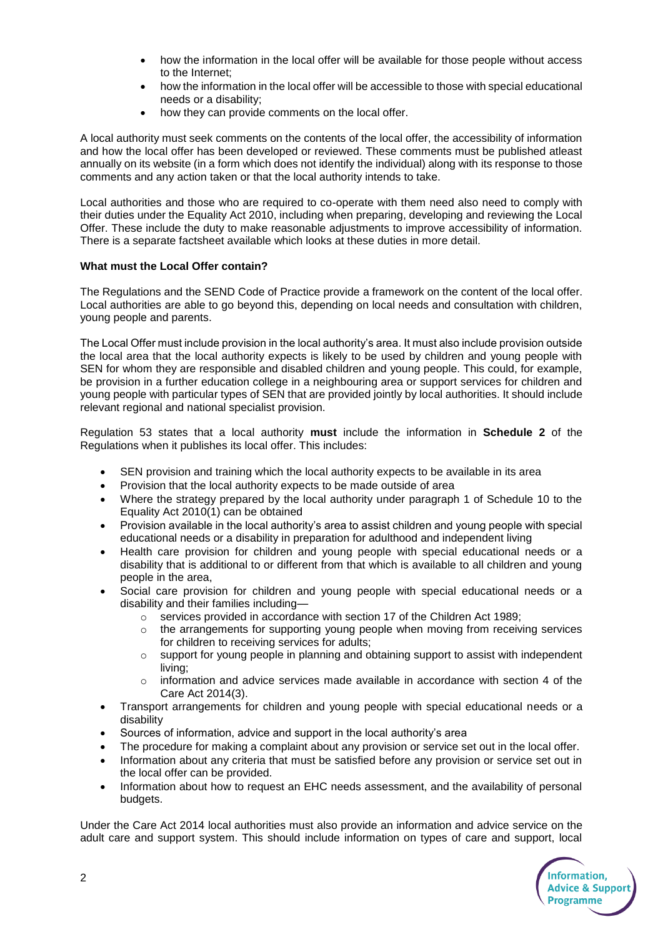- how the information in the local offer will be available for those people without access to the Internet;
- how the information in the local offer will be accessible to those with special educational needs or a disability;
- how they can provide comments on the local offer.

A local authority must seek comments on the contents of the local offer, the accessibility of information and how the local offer has been developed or reviewed. These comments must be published atleast annually on its website (in a form which does not identify the individual) along with its response to those comments and any action taken or that the local authority intends to take.

Local authorities and those who are required to co-operate with them need also need to comply with their duties under the Equality Act 2010, including when preparing, developing and reviewing the Local Offer. These include the duty to make reasonable adjustments to improve accessibility of information. There is a separate factsheet available which looks at these duties in more detail.

# **What must the Local Offer contain?**

The Regulations and the SEND Code of Practice provide a framework on the content of the local offer. Local authorities are able to go beyond this, depending on local needs and consultation with children, young people and parents.

The Local Offer must include provision in the local authority's area. It must also include provision outside the local area that the local authority expects is likely to be used by children and young people with SEN for whom they are responsible and disabled children and young people. This could, for example, be provision in a further education college in a neighbouring area or support services for children and young people with particular types of SEN that are provided jointly by local authorities. It should include relevant regional and national specialist provision.

Regulation 53 states that a local authority **must** include the information in **Schedule 2** of the Regulations when it publishes its local offer. This includes:

- SEN provision and training which the local authority expects to be available in its area
- Provision that the local authority expects to be made outside of area
- Where the strategy prepared by the local authority under paragraph 1 of Schedule 10 to the Equality Act 2010(1) can be obtained
- Provision available in the local authority's area to assist children and young people with special educational needs or a disability in preparation for adulthood and independent living
- Health care provision for children and young people with special educational needs or a disability that is additional to or different from that which is available to all children and young people in the area,
- Social care provision for children and young people with special educational needs or a disability and their families including
	- o services provided in accordance with section 17 of the Children Act 1989;
	- $\circ$  the arrangements for supporting young people when moving from receiving services for children to receiving services for adults;
	- $\circ$  support for young people in planning and obtaining support to assist with independent living;
	- $\circ$  information and advice services made available in accordance with section 4 of the Care Act 2014(3).
- Transport arrangements for children and young people with special educational needs or a disability
- Sources of information, advice and support in the local authority's area
- The procedure for making a complaint about any provision or service set out in the local offer.
- Information about any criteria that must be satisfied before any provision or service set out in the local offer can be provided.
- Information about how to request an EHC needs assessment, and the availability of personal budgets.

Under the Care Act 2014 local authorities must also provide an information and advice service on the adult care and support system. This should include information on types of care and support, local